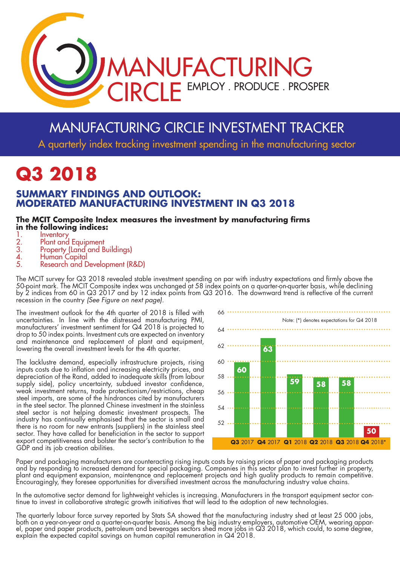

# MANUFACTURING CIRCLE INVESTMENT TRACKER

A quarterly index tracking investment spending in the manufacturing sector

# **Q3 2018**

### **SUMMARY FINDINGS AND OUTLOOK: MODERATED MANUFACTURING INVESTMENT IN Q3 2018**

#### **The MCIT Composite Index measures the investment by manufacturing firms in the following indices:**

- 
- 1. Inventory<br>
2. Plant and<br>
3. Property 2. Plant and Equipment
- 3. Property (Land and Buildings)
- 4. Human Capital<br>5. Research and D
- Research and Development (R&D)

The MCIT survey for Q3 2018 revealed stable investment spending on par with industry expectations and firmly above the 50-point mark. The MCIT Composite index was unchanged at 58 index points on a quarter-on-quarter basis, while declining by 2 indices from 60 in Q3 2017 and by 12 index points from Q3 2016. The downward trend is reflective of the current recession in the country *(See Figure on next page).*

The investment outlook for the 4th quarter of 2018 is filled with uncertainties. In line with the distressed manufacturing PMI, manufacturers' investment sentiment for Q4 2018 is projected to drop to 50 index points. Investment cuts are expected on inventory and maintenance and replacement of plant and equipment, lowering the overall investment levels for the 4th quarter.

The lacklustre demand, especially infrastructure projects, rising inputs costs due to inflation and increasing electricity prices, and depreciation of the Rand, added to inadequate skills (from labour supply side), policy uncertainty, subdued investor confidence, weak investment returns, trade protectionism/restrictions, cheap steel imports, are some of the hindrances cited by manufacturers in the steel sector. The planned Chinese investment in the stainless steel sector is not helping domestic investment prospects. The industry has continually emphasised that the sector is small and there is no room for new entrants (suppliers) in the stainless steel sector. They have called for beneficiation in the sector to support export competitiveness and bolster the sector's contribution to the GDP and its job creation abilities.



Paper and packaging manufacturers are counteracting rising inputs costs by raising prices of paper and packaging products and by responding to increased demand for special packaging. Companies in this sector plan to invest further in property, plant and equipment expansion, maintenance and replacement projects and high quality products to remain competitive. Encouragingly, they foresee opportunities for diversified investment across the manufacturing industry value chains.

In the automotive sector demand for lightweight vehicles is increasing. Manufacturers in the transport equipment sector continue to invest in collaborative strategic growth initiatives that will lead to the adoption of new technologies.

The quarterly labour force survey reported by Stats SA showed that the manufacturing industry shed at least 25 000 jobs, both on a year-on-year and a quarter-on-quarter basis. Among the big industry employers, automotive OEM, wearing apparel, paper and paper products, petroleum and beverages sectors shed more jobs in Q3 2018, which could, to some degree, explain the expected capital savings on human capital remuneration in Q4 2018.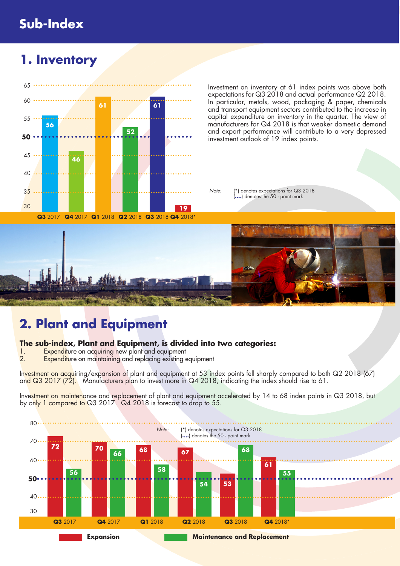# **Sub-Index**

# **1. Inventory**



Investment on inventory at 61 index points was above both expectations for Q3 2018 and actual performance Q2 2018. In particular, metals, wood, packaging & paper, chemicals and transport equipment sectors contributed to the increase in capital expenditure on inventory in the quarter. The view of manufacturers for Q4 2018 is that weaker domestic demand and export performance will contribute to a very depressed investment outlook of 19 index points.

*Note:* (\*) denotes expectations for Q3 2018 (**....**) denotes the 50 - point mark



# **2. Plant and Equipment**

# **The sub-index, Plant and Equipment, is divided into two categories:**

- 1. Expenditure on acquiring new plant and equipment<br>2. Expenditure on maintaining and replacing existing
- Expenditure on maintaining and replacing existing equipment

Investment on acquiring/expansion of plant and equipment at 53 index points fell sharply compared to both Q2 2018 (67) and Q3 2017 (72). Manufacturers plan to invest more in Q4 2018, indicating the index should rise to 61.

Investment on maintenance and replacement of plant and equipment accelerated by 14 to 68 index points in Q3 2018, but by only 1 compared to Q3 2017. Q4 2018 is forecast to drop to 55.

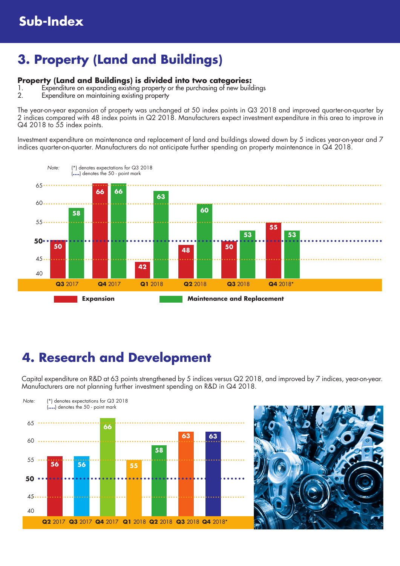# **3. Property (Land and Buildings)**

### **Property (Land and Buildings) is divided into two categories:**

- 1. Expenditure on expanding existing property or the purchasing of new buildings
- Expenditure on maintaining existing property

The year-on-year expansion of property was unchanged at 50 index points in Q3 2018 and improved quarter-on-quarter by 2 indices compared with 48 index points in Q2 2018. Manufacturers expect investment expenditure in this area to improve in Q4 2018 to 55 index points.

Investment expenditure on maintenance and replacement of land and buildings slowed down by 5 indices year-on-year and 7 indices quarter-on-quarter. Manufacturers do not anticipate further spending on property maintenance in Q4 2018.



## **4. Research and Development**

Capital expenditure on R&D at 63 points strengthened by 5 indices versus Q2 2018, and improved by 7 indices, year-on-year. Manufacturers are not planning further investment spending on R&D in Q4 2018.